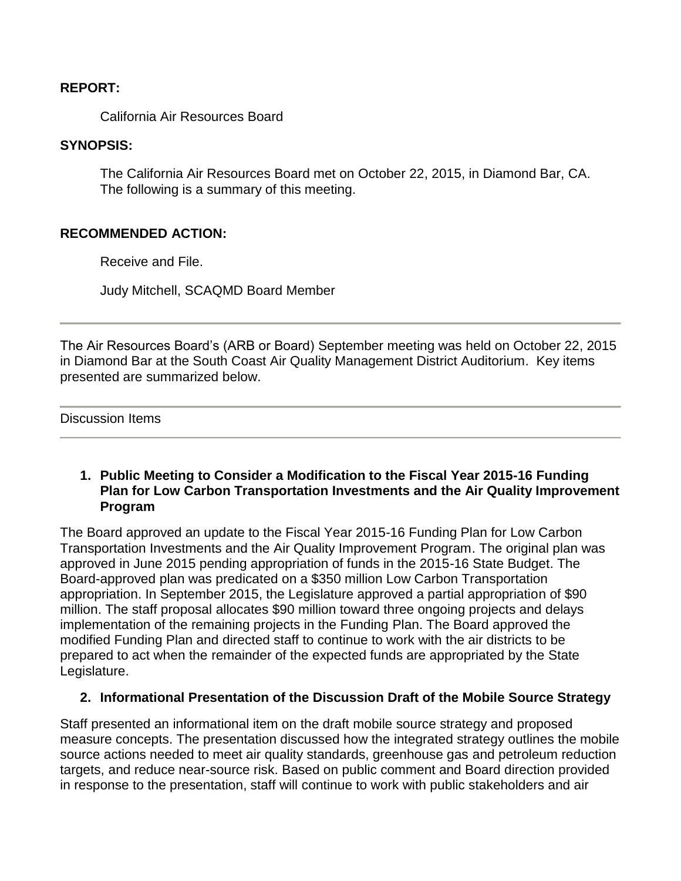### **REPORT:**

California Air Resources Board

## **SYNOPSIS:**

The California Air Resources Board met on October 22, 2015, in Diamond Bar, CA. The following is a summary of this meeting.

## **RECOMMENDED ACTION:**

Receive and File.

Judy Mitchell, SCAQMD Board Member

The Air Resources Board's (ARB or Board) September meeting was held on October 22, 2015 in Diamond Bar at the South Coast Air Quality Management District Auditorium. Key items presented are summarized below.

Discussion Items

## **1. Public Meeting to Consider a Modification to the Fiscal Year 2015-16 Funding Plan for Low Carbon Transportation Investments and the Air Quality Improvement Program**

The Board approved an update to the Fiscal Year 2015-16 Funding Plan for Low Carbon Transportation Investments and the Air Quality Improvement Program. The original plan was approved in June 2015 pending appropriation of funds in the 2015-16 State Budget. The Board-approved plan was predicated on a \$350 million Low Carbon Transportation appropriation. In September 2015, the Legislature approved a partial appropriation of \$90 million. The staff proposal allocates \$90 million toward three ongoing projects and delays implementation of the remaining projects in the Funding Plan. The Board approved the modified Funding Plan and directed staff to continue to work with the air districts to be prepared to act when the remainder of the expected funds are appropriated by the State Legislature.

## **2. Informational Presentation of the Discussion Draft of the Mobile Source Strategy**

Staff presented an informational item on the draft mobile source strategy and proposed measure concepts. The presentation discussed how the integrated strategy outlines the mobile source actions needed to meet air quality standards, greenhouse gas and petroleum reduction targets, and reduce near-source risk. Based on public comment and Board direction provided in response to the presentation, staff will continue to work with public stakeholders and air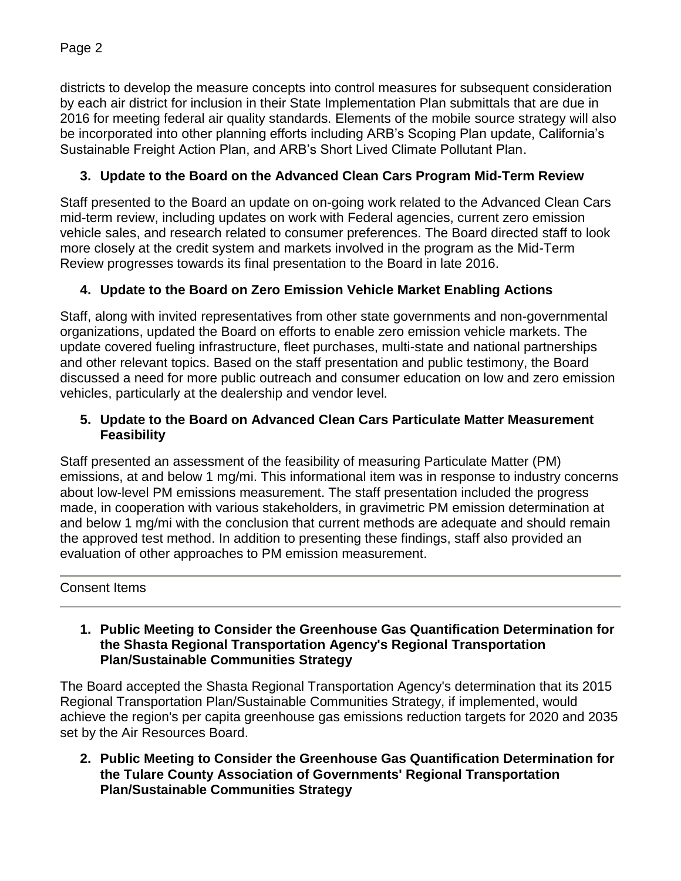districts to develop the measure concepts into control measures for subsequent consideration by each air district for inclusion in their State Implementation Plan submittals that are due in 2016 for meeting federal air quality standards. Elements of the mobile source strategy will also be incorporated into other planning efforts including ARB's Scoping Plan update, California's Sustainable Freight Action Plan, and ARB's Short Lived Climate Pollutant Plan.

# **3. Update to the Board on the Advanced Clean Cars Program Mid-Term Review**

Staff presented to the Board an update on on-going work related to the Advanced Clean Cars mid-term review, including updates on work with Federal agencies, current zero emission vehicle sales, and research related to consumer preferences. The Board directed staff to look more closely at the credit system and markets involved in the program as the Mid-Term Review progresses towards its final presentation to the Board in late 2016.

## **4. Update to the Board on Zero Emission Vehicle Market Enabling Actions**

Staff, along with invited representatives from other state governments and non-governmental organizations, updated the Board on efforts to enable zero emission vehicle markets. The update covered fueling infrastructure, fleet purchases, multi-state and national partnerships and other relevant topics. Based on the staff presentation and public testimony, the Board discussed a need for more public outreach and consumer education on low and zero emission vehicles, particularly at the dealership and vendor level*.* 

## **5. Update to the Board on Advanced Clean Cars Particulate Matter Measurement Feasibility**

Staff presented an assessment of the feasibility of measuring Particulate Matter (PM) emissions, at and below 1 mg/mi. This informational item was in response to industry concerns about low-level PM emissions measurement. The staff presentation included the progress made, in cooperation with various stakeholders, in gravimetric PM emission determination at and below 1 mg/mi with the conclusion that current methods are adequate and should remain the approved test method. In addition to presenting these findings, staff also provided an evaluation of other approaches to PM emission measurement.

## Consent Items

**1. Public Meeting to Consider the Greenhouse Gas Quantification Determination for the Shasta Regional Transportation Agency's Regional Transportation Plan/Sustainable Communities Strategy** 

The Board accepted the Shasta Regional Transportation Agency's determination that its 2015 Regional Transportation Plan/Sustainable Communities Strategy, if implemented, would achieve the region's per capita greenhouse gas emissions reduction targets for 2020 and 2035 set by the Air Resources Board.

**2. Public Meeting to Consider the Greenhouse Gas Quantification Determination for the Tulare County Association of Governments' Regional Transportation Plan/Sustainable Communities Strategy** 

Page 2